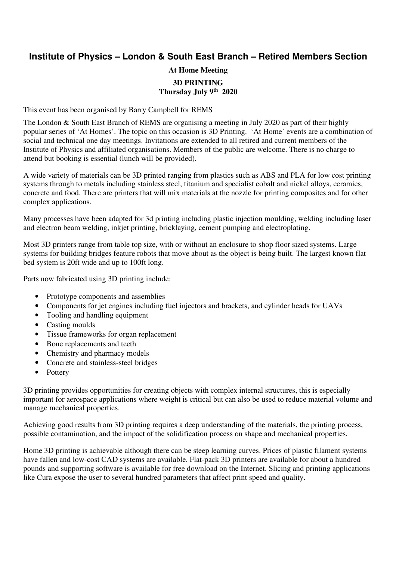## **Institute of Physics – London & South East Branch – Retired Members Section**

## **At Home Meeting 3D PRINTING Thursday July 9th 2020**

This event has been organised by Barry Campbell for REMS

The London & South East Branch of REMS are organising a meeting in July 2020 as part of their highly popular series of 'At Homes'. The topic on this occasion is 3D Printing. 'At Home' events are a combination of social and technical one day meetings. Invitations are extended to all retired and current members of the Institute of Physics and affiliated organisations. Members of the public are welcome. There is no charge to attend but booking is essential (lunch will be provided).

A wide variety of materials can be 3D printed ranging from plastics such as ABS and PLA for low cost printing systems through to metals including stainless steel, titanium and specialist cobalt and nickel alloys, ceramics, concrete and food. There are printers that will mix materials at the nozzle for printing composites and for other complex applications.

Many processes have been adapted for 3d printing including plastic injection moulding, welding including laser and electron beam welding, inkjet printing, bricklaying, cement pumping and electroplating.

Most 3D printers range from table top size, with or without an enclosure to shop floor sized systems. Large systems for building bridges feature robots that move about as the object is being built. The largest known flat bed system is 20ft wide and up to 100ft long.

Parts now fabricated using 3D printing include:

- Prototype components and assemblies
- Components for jet engines including fuel injectors and brackets, and cylinder heads for UAVs
- Tooling and handling equipment
- Casting moulds
- Tissue frameworks for organ replacement
- Bone replacements and teeth
- Chemistry and pharmacy models
- Concrete and stainless-steel bridges
- **Pottery**

3D printing provides opportunities for creating objects with complex internal structures, this is especially important for aerospace applications where weight is critical but can also be used to reduce material volume and manage mechanical properties.

Achieving good results from 3D printing requires a deep understanding of the materials, the printing process, possible contamination, and the impact of the solidification process on shape and mechanical properties.

Home 3D printing is achievable although there can be steep learning curves. Prices of plastic filament systems have fallen and low-cost CAD systems are available. Flat-pack 3D printers are available for about a hundred pounds and supporting software is available for free download on the Internet. Slicing and printing applications like Cura expose the user to several hundred parameters that affect print speed and quality.